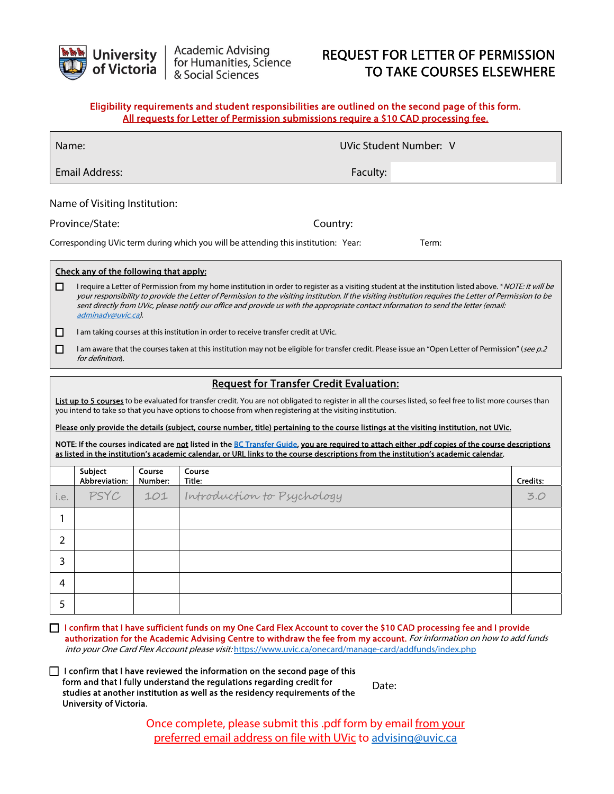

# REQUEST FOR LETTER OF PERMISSION TO TAKE COURSES ELSEWHERE

## Eligibility requirements and student responsibilities are outlined on the second page of this form. All requests for Letter of Permission submissions require a \$10 CAD processing fee.

| Name:                                                                                                                                                                                                                                                                                                                                                                                                                               |                                                                                                                                                                                                                                                                                                                                                                                                                                                                                    |          | UVic Student Number: V |  |  |  |  |
|-------------------------------------------------------------------------------------------------------------------------------------------------------------------------------------------------------------------------------------------------------------------------------------------------------------------------------------------------------------------------------------------------------------------------------------|------------------------------------------------------------------------------------------------------------------------------------------------------------------------------------------------------------------------------------------------------------------------------------------------------------------------------------------------------------------------------------------------------------------------------------------------------------------------------------|----------|------------------------|--|--|--|--|
| <b>Email Address:</b>                                                                                                                                                                                                                                                                                                                                                                                                               |                                                                                                                                                                                                                                                                                                                                                                                                                                                                                    | Faculty: |                        |  |  |  |  |
| Name of Visiting Institution:                                                                                                                                                                                                                                                                                                                                                                                                       |                                                                                                                                                                                                                                                                                                                                                                                                                                                                                    |          |                        |  |  |  |  |
| Province/State:                                                                                                                                                                                                                                                                                                                                                                                                                     |                                                                                                                                                                                                                                                                                                                                                                                                                                                                                    | Country: |                        |  |  |  |  |
| Corresponding UVic term during which you will be attending this institution: Year:<br>Term:                                                                                                                                                                                                                                                                                                                                         |                                                                                                                                                                                                                                                                                                                                                                                                                                                                                    |          |                        |  |  |  |  |
| Check any of the following that apply:                                                                                                                                                                                                                                                                                                                                                                                              |                                                                                                                                                                                                                                                                                                                                                                                                                                                                                    |          |                        |  |  |  |  |
| □                                                                                                                                                                                                                                                                                                                                                                                                                                   | I require a Letter of Permission from my home institution in order to register as a visiting student at the institution listed above. * NOTE: It will be<br>your responsibility to provide the Letter of Permission to the visiting institution. If the visiting institution requires the Letter of Permission to be<br>sent directly from UVic, please notify our office and provide us with the appropriate contact information to send the letter (email:<br>adminadv@uvic.ca). |          |                        |  |  |  |  |
| □                                                                                                                                                                                                                                                                                                                                                                                                                                   | I am taking courses at this institution in order to receive transfer credit at UVic.                                                                                                                                                                                                                                                                                                                                                                                               |          |                        |  |  |  |  |
| □                                                                                                                                                                                                                                                                                                                                                                                                                                   | I am aware that the courses taken at this institution may not be eligible for transfer credit. Please issue an "Open Letter of Permission" (see p.2<br>for definition).                                                                                                                                                                                                                                                                                                            |          |                        |  |  |  |  |
| <b>Request for Transfer Credit Evaluation:</b>                                                                                                                                                                                                                                                                                                                                                                                      |                                                                                                                                                                                                                                                                                                                                                                                                                                                                                    |          |                        |  |  |  |  |
| List up to 5 courses to be evaluated for transfer credit. You are not obligated to register in all the courses listed, so feel free to list more courses than<br>you intend to take so that you have options to choose from when registering at the visiting institution.                                                                                                                                                           |                                                                                                                                                                                                                                                                                                                                                                                                                                                                                    |          |                        |  |  |  |  |
| Please only provide the details (subject, course number, title) pertaining to the course listings at the visiting institution, not UVic.<br>NOTE: If the courses indicated are not listed in the BC Transfer Guide, you are required to attach either .pdf copies of the course descriptions<br>as listed in the institution's academic calendar, or URL links to the course descriptions from the institution's academic calendar. |                                                                                                                                                                                                                                                                                                                                                                                                                                                                                    |          |                        |  |  |  |  |

|      | Subject<br>Abbreviation: | Course<br>Number: | Course<br>Title:                    | Credits: |
|------|--------------------------|-------------------|-------------------------------------|----------|
| i.e. |                          |                   | PSYC 101 Introduction to Psychology | 3.0      |
|      |                          |                   |                                     |          |
| 2    |                          |                   |                                     |          |
| 3    |                          |                   |                                     |          |
| 4    |                          |                   |                                     |          |
| 5    |                          |                   |                                     |          |

- □ I confirm that I have sufficient funds on my One Card Flex Account to cover the \$10 CAD processing fee and I provide authorization for the Academic Advising Centre to withdraw the fee from my account. For information on how to add funds into your One Card Flex Account please visit: <https://www.uvic.ca/onecard/manage-card/addfunds/index.php>
- $\Box$  I confirm that I have reviewed the information on the second page of this form and that I fully understand the regulations regarding credit for studies at another institution as well as the residency requirements of the University of Victoria.

Date:

Once complete, please submit this .pdf form by email from your preferred email address on file with UVic to [advising@uvic.ca](mailto: advising@uvic.ca)